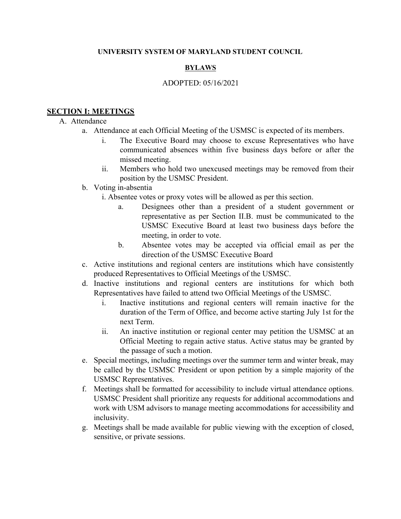#### **UNIVERSITY SYSTEM OF MARYLAND STUDENT COUNCIL**

### **BYLAWS**

#### ADOPTED: 05/16/2021

#### **SECTION I: MEETINGS**

#### A. Attendance

- a. Attendance at each Official Meeting of the USMSC is expected of its members.
	- i. The Executive Board may choose to excuse Representatives who have communicated absences within five business days before or after the missed meeting.
	- ii. Members who hold two unexcused meetings may be removed from their position by the USMSC President.

#### b. Voting in-absentia

- i. Absentee votes or proxy votes will be allowed as per this section.
	- a. Designees other than a president of a student government or representative as per Section II.B. must be communicated to the USMSC Executive Board at least two business days before the meeting, in order to vote.
	- b. Absentee votes may be accepted via official email as per the direction of the USMSC Executive Board
- c. Active institutions and regional centers are institutions which have consistently produced Representatives to Official Meetings of the USMSC.
- d. Inactive institutions and regional centers are institutions for which both Representatives have failed to attend two Official Meetings of the USMSC.
	- i. Inactive institutions and regional centers will remain inactive for the duration of the Term of Office, and become active starting July 1st for the next Term.
	- ii. An inactive institution or regional center may petition the USMSC at an Official Meeting to regain active status. Active status may be granted by the passage of such a motion.
- e. Special meetings, including meetings over the summer term and winter break, may be called by the USMSC President or upon petition by a simple majority of the USMSC Representatives.
- f. Meetings shall be formatted for accessibility to include virtual attendance options. USMSC President shall prioritize any requests for additional accommodations and work with USM advisors to manage meeting accommodations for accessibility and inclusivity.
- g. Meetings shall be made available for public viewing with the exception of closed, sensitive, or private sessions.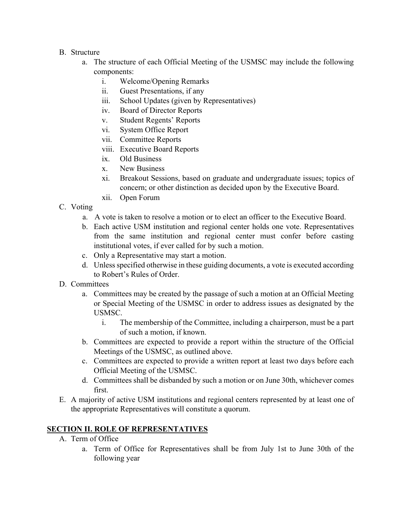- B. Structure
	- a. The structure of each Official Meeting of the USMSC may include the following components:
		- i. Welcome/Opening Remarks
		- ii. Guest Presentations, if any
		- iii. School Updates (given by Representatives)
		- iv. Board of Director Reports
		- v. Student Regents' Reports
		- vi. System Office Report
		- vii. Committee Reports
		- viii. Executive Board Reports
		- ix. Old Business
		- x. New Business
		- xi. Breakout Sessions, based on graduate and undergraduate issues; topics of concern; or other distinction as decided upon by the Executive Board.
		- xii. Open Forum
- C. Voting
	- a. A vote is taken to resolve a motion or to elect an officer to the Executive Board.
	- b. Each active USM institution and regional center holds one vote. Representatives from the same institution and regional center must confer before casting institutional votes, if ever called for by such a motion.
	- c. Only a Representative may start a motion.
	- d. Unless specified otherwise in these guiding documents, a vote is executed according to Robert's Rules of Order.
- D. Committees
	- a. Committees may be created by the passage of such a motion at an Official Meeting or Special Meeting of the USMSC in order to address issues as designated by the USMSC.
		- i. The membership of the Committee, including a chairperson, must be a part of such a motion, if known.
	- b. Committees are expected to provide a report within the structure of the Official Meetings of the USMSC, as outlined above.
	- c. Committees are expected to provide a written report at least two days before each Official Meeting of the USMSC.
	- d. Committees shall be disbanded by such a motion or on June 30th, whichever comes first.
- E. A majority of active USM institutions and regional centers represented by at least one of the appropriate Representatives will constitute a quorum.

# **SECTION II. ROLE OF REPRESENTATIVES**

- A. Term of Office
	- a. Term of Office for Representatives shall be from July 1st to June 30th of the following year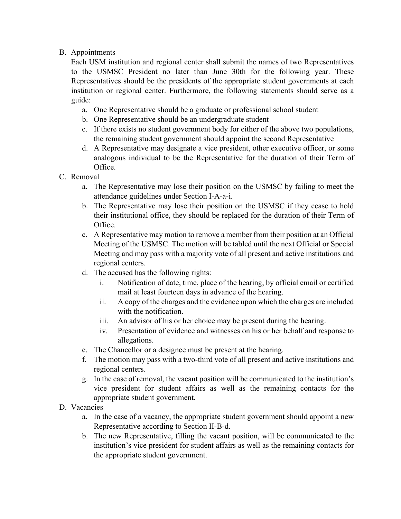## B. Appointments

Each USM institution and regional center shall submit the names of two Representatives to the USMSC President no later than June 30th for the following year. These Representatives should be the presidents of the appropriate student governments at each institution or regional center. Furthermore, the following statements should serve as a guide:

- a. One Representative should be a graduate or professional school student
- b. One Representative should be an undergraduate student
- c. If there exists no student government body for either of the above two populations, the remaining student government should appoint the second Representative
- d. A Representative may designate a vice president, other executive officer, or some analogous individual to be the Representative for the duration of their Term of Office.
- C. Removal
	- a. The Representative may lose their position on the USMSC by failing to meet the attendance guidelines under Section I-A-a-i.
	- b. The Representative may lose their position on the USMSC if they cease to hold their institutional office, they should be replaced for the duration of their Term of Office.
	- c. A Representative may motion to remove a member from their position at an Official Meeting of the USMSC. The motion will be tabled until the next Official or Special Meeting and may pass with a majority vote of all present and active institutions and regional centers.
	- d. The accused has the following rights:
		- i. Notification of date, time, place of the hearing, by official email or certified mail at least fourteen days in advance of the hearing.
		- ii. A copy of the charges and the evidence upon which the charges are included with the notification.
		- iii. An advisor of his or her choice may be present during the hearing.
		- iv. Presentation of evidence and witnesses on his or her behalf and response to allegations.
	- e. The Chancellor or a designee must be present at the hearing.
	- f. The motion may pass with a two-third vote of all present and active institutions and regional centers.
	- g. In the case of removal, the vacant position will be communicated to the institution's vice president for student affairs as well as the remaining contacts for the appropriate student government.
- D. Vacancies
	- a. In the case of a vacancy, the appropriate student government should appoint a new Representative according to Section II-B-d.
	- b. The new Representative, filling the vacant position, will be communicated to the institution's vice president for student affairs as well as the remaining contacts for the appropriate student government.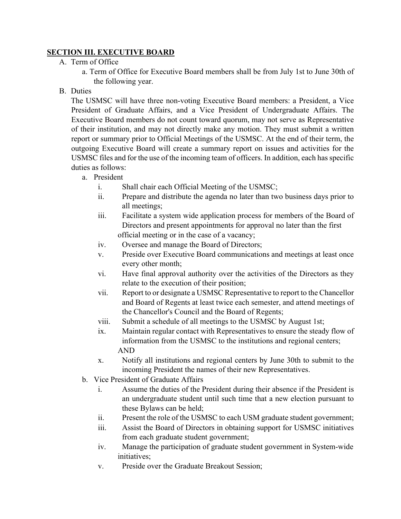## **SECTION III. EXECUTIVE BOARD**

### A. Term of Office

a. Term of Office for Executive Board members shall be from July 1st to June 30th of the following year.

## B. Duties

The USMSC will have three non-voting Executive Board members: a President, a Vice President of Graduate Affairs, and a Vice President of Undergraduate Affairs. The Executive Board members do not count toward quorum, may not serve as Representative of their institution, and may not directly make any motion. They must submit a written report or summary prior to Official Meetings of the USMSC. At the end of their term, the outgoing Executive Board will create a summary report on issues and activities for the USMSC files and for the use of the incoming team of officers. In addition, each has specific duties as follows:

- a. President
	- i. Shall chair each Official Meeting of the USMSC;
	- ii. Prepare and distribute the agenda no later than two business days prior to all meetings;
	- iii. Facilitate a system wide application process for members of the Board of Directors and present appointments for approval no later than the first official meeting or in the case of a vacancy;
	- iv. Oversee and manage the Board of Directors;
	- v. Preside over Executive Board communications and meetings at least once every other month;
	- vi. Have final approval authority over the activities of the Directors as they relate to the execution of their position;
	- vii. Report to or designate a USMSC Representative to report to the Chancellor and Board of Regents at least twice each semester, and attend meetings of the Chancellor's Council and the Board of Regents;
	- viii. Submit a schedule of all meetings to the USMSC by August 1st;
	- ix. Maintain regular contact with Representatives to ensure the steady flow of information from the USMSC to the institutions and regional centers; AND
	- x. Notify all institutions and regional centers by June 30th to submit to the incoming President the names of their new Representatives.
- b. Vice President of Graduate Affairs
	- i. Assume the duties of the President during their absence if the President is an undergraduate student until such time that a new election pursuant to these Bylaws can be held;
	- ii. Present the role of the USMSC to each USM graduate student government;
	- iii. Assist the Board of Directors in obtaining support for USMSC initiatives from each graduate student government;
	- iv. Manage the participation of graduate student government in System-wide initiatives;
	- v. Preside over the Graduate Breakout Session;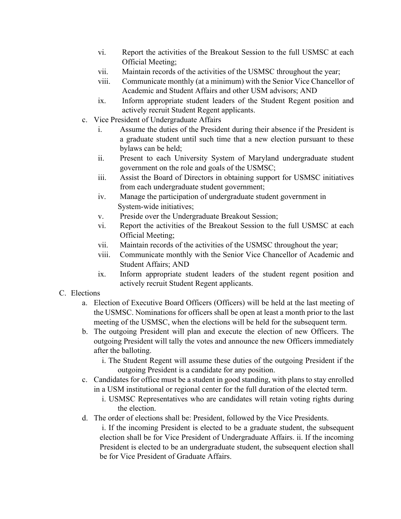- vi. Report the activities of the Breakout Session to the full USMSC at each Official Meeting;
- vii. Maintain records of the activities of the USMSC throughout the year;
- viii. Communicate monthly (at a minimum) with the Senior Vice Chancellor of Academic and Student Affairs and other USM advisors; AND
- ix. Inform appropriate student leaders of the Student Regent position and actively recruit Student Regent applicants.
- c. Vice President of Undergraduate Affairs
	- i. Assume the duties of the President during their absence if the President is a graduate student until such time that a new election pursuant to these bylaws can be held;
	- ii. Present to each University System of Maryland undergraduate student government on the role and goals of the USMSC;
	- iii. Assist the Board of Directors in obtaining support for USMSC initiatives from each undergraduate student government;
	- iv. Manage the participation of undergraduate student government in System-wide initiatives;
	- v. Preside over the Undergraduate Breakout Session;
	- vi. Report the activities of the Breakout Session to the full USMSC at each Official Meeting;
	- vii. Maintain records of the activities of the USMSC throughout the year;
	- viii. Communicate monthly with the Senior Vice Chancellor of Academic and Student Affairs; AND
	- ix. Inform appropriate student leaders of the student regent position and actively recruit Student Regent applicants.

#### C. Elections

- a. Election of Executive Board Officers (Officers) will be held at the last meeting of the USMSC. Nominations for officers shall be open at least a month prior to the last meeting of the USMSC, when the elections will be held for the subsequent term.
- b. The outgoing President will plan and execute the election of new Officers. The outgoing President will tally the votes and announce the new Officers immediately after the balloting.
	- i. The Student Regent will assume these duties of the outgoing President if the outgoing President is a candidate for any position.
- c. Candidates for office must be a student in good standing, with plans to stay enrolled in a USM institutional or regional center for the full duration of the elected term.
	- i. USMSC Representatives who are candidates will retain voting rights during the election.
- d. The order of elections shall be: President, followed by the Vice Presidents.

i. If the incoming President is elected to be a graduate student, the subsequent election shall be for Vice President of Undergraduate Affairs. ii. If the incoming President is elected to be an undergraduate student, the subsequent election shall be for Vice President of Graduate Affairs.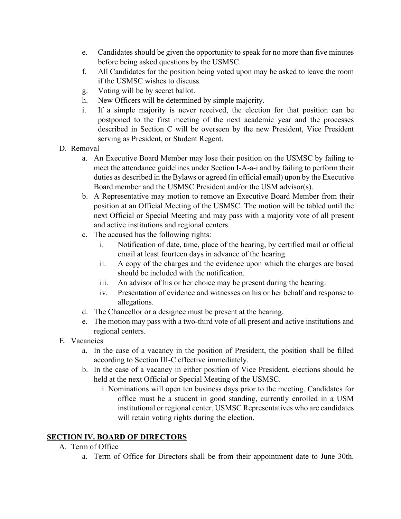- e. Candidates should be given the opportunity to speak for no more than five minutes before being asked questions by the USMSC.
- f. All Candidates for the position being voted upon may be asked to leave the room if the USMSC wishes to discuss.
- g. Voting will be by secret ballot.
- h. New Officers will be determined by simple majority.
- i. If a simple majority is never received, the election for that position can be postponed to the first meeting of the next academic year and the processes described in Section C will be overseen by the new President, Vice President serving as President, or Student Regent.
- D. Removal
	- a. An Executive Board Member may lose their position on the USMSC by failing to meet the attendance guidelines under Section I-A-a-i and by failing to perform their duties as described in the Bylaws or agreed (in official email) upon by the Executive Board member and the USMSC President and/or the USM advisor(s).
	- b. A Representative may motion to remove an Executive Board Member from their position at an Official Meeting of the USMSC. The motion will be tabled until the next Official or Special Meeting and may pass with a majority vote of all present and active institutions and regional centers.
	- c. The accused has the following rights:
		- i. Notification of date, time, place of the hearing, by certified mail or official email at least fourteen days in advance of the hearing.
		- ii. A copy of the charges and the evidence upon which the charges are based should be included with the notification.
		- iii. An advisor of his or her choice may be present during the hearing.
		- iv. Presentation of evidence and witnesses on his or her behalf and response to allegations.
	- d. The Chancellor or a designee must be present at the hearing.
	- e. The motion may pass with a two-third vote of all present and active institutions and regional centers.
- E. Vacancies
	- a. In the case of a vacancy in the position of President, the position shall be filled according to Section III-C effective immediately.
	- b. In the case of a vacancy in either position of Vice President, elections should be held at the next Official or Special Meeting of the USMSC.
		- i. Nominations will open ten business days prior to the meeting. Candidates for office must be a student in good standing, currently enrolled in a USM institutional or regional center. USMSC Representatives who are candidates will retain voting rights during the election.

# **SECTION IV. BOARD OF DIRECTORS**

- A. Term of Office
	- a. Term of Office for Directors shall be from their appointment date to June 30th.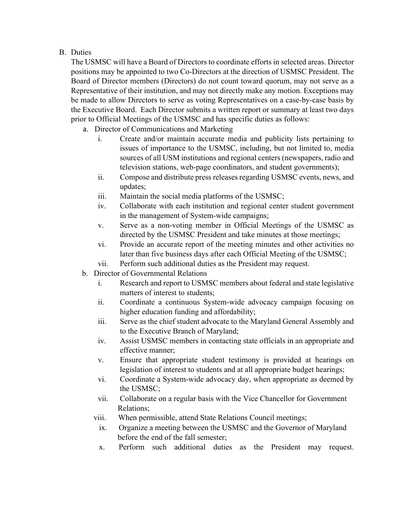## B. Duties

The USMSC will have a Board of Directors to coordinate efforts in selected areas. Director positions may be appointed to two Co-Directors at the direction of USMSC President. The Board of Director members (Directors) do not count toward quorum, may not serve as a Representative of their institution, and may not directly make any motion. Exceptions may be made to allow Directors to serve as voting Representatives on a case-by-case basis by the Executive Board. Each Director submits a written report or summary at least two days prior to Official Meetings of the USMSC and has specific duties as follows:

- a. Director of Communications and Marketing
	- i. Create and/or maintain accurate media and publicity lists pertaining to issues of importance to the USMSC, including, but not limited to, media sources of all USM institutions and regional centers (newspapers, radio and television stations, web-page coordinators, and student governments);
	- ii. Compose and distribute press releases regarding USMSC events, news, and updates;
	- iii. Maintain the social media platforms of the USMSC;
	- iv. Collaborate with each institution and regional center student government in the management of System-wide campaigns;
	- v. Serve as a non-voting member in Official Meetings of the USMSC as directed by the USMSC President and take minutes at those meetings;
	- vi. Provide an accurate report of the meeting minutes and other activities no later than five business days after each Official Meeting of the USMSC;
	- vii. Perform such additional duties as the President may request.
- b. Director of Governmental Relations
	- i. Research and report to USMSC members about federal and state legislative matters of interest to students;
	- ii. Coordinate a continuous System-wide advocacy campaign focusing on higher education funding and affordability;
	- iii. Serve as the chief student advocate to the Maryland General Assembly and to the Executive Branch of Maryland;
	- iv. Assist USMSC members in contacting state officials in an appropriate and effective manner;
	- v. Ensure that appropriate student testimony is provided at hearings on legislation of interest to students and at all appropriate budget hearings;
	- vi. Coordinate a System-wide advocacy day, when appropriate as deemed by the USMSC;
	- vii. Collaborate on a regular basis with the Vice Chancellor for Government Relations;
	- viii. When permissible, attend State Relations Council meetings;
		- ix. Organize a meeting between the USMSC and the Governor of Maryland before the end of the fall semester;
		- x. Perform such additional duties as the President may request.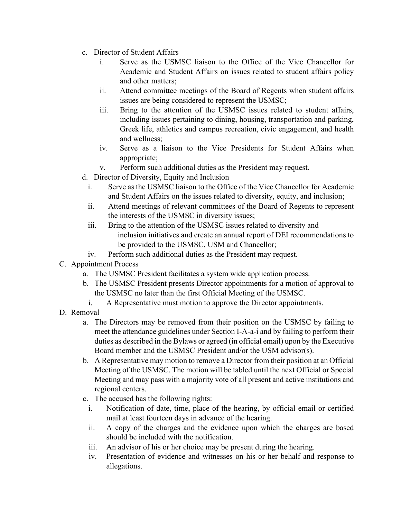- c. Director of Student Affairs
	- i. Serve as the USMSC liaison to the Office of the Vice Chancellor for Academic and Student Affairs on issues related to student affairs policy and other matters;
	- ii. Attend committee meetings of the Board of Regents when student affairs issues are being considered to represent the USMSC;
	- iii. Bring to the attention of the USMSC issues related to student affairs, including issues pertaining to dining, housing, transportation and parking, Greek life, athletics and campus recreation, civic engagement, and health and wellness;
	- iv. Serve as a liaison to the Vice Presidents for Student Affairs when appropriate;
	- v. Perform such additional duties as the President may request.
- d. Director of Diversity, Equity and Inclusion
	- i. Serve as the USMSC liaison to the Office of the Vice Chancellor for Academic and Student Affairs on the issues related to diversity, equity, and inclusion;
	- ii. Attend meetings of relevant committees of the Board of Regents to represent the interests of the USMSC in diversity issues;
	- iii. Bring to the attention of the USMSC issues related to diversity and inclusion initiatives and create an annual report of DEI recommendations to be provided to the USMSC, USM and Chancellor;
	- iv. Perform such additional duties as the President may request.
- C. Appointment Process
	- a. The USMSC President facilitates a system wide application process.
	- b. The USMSC President presents Director appointments for a motion of approval to the USMSC no later than the first Official Meeting of the USMSC.
		- i. A Representative must motion to approve the Director appointments.
- D. Removal
	- a. The Directors may be removed from their position on the USMSC by failing to meet the attendance guidelines under Section I-A-a-i and by failing to perform their duties as described in the Bylaws or agreed (in official email) upon by the Executive Board member and the USMSC President and/or the USM advisor(s).
	- b. A Representative may motion to remove a Director from their position at an Official Meeting of the USMSC. The motion will be tabled until the next Official or Special Meeting and may pass with a majority vote of all present and active institutions and regional centers.
	- c. The accused has the following rights:
		- i. Notification of date, time, place of the hearing, by official email or certified mail at least fourteen days in advance of the hearing.
		- ii. A copy of the charges and the evidence upon which the charges are based should be included with the notification.
		- iii. An advisor of his or her choice may be present during the hearing.
		- iv. Presentation of evidence and witnesses on his or her behalf and response to allegations.